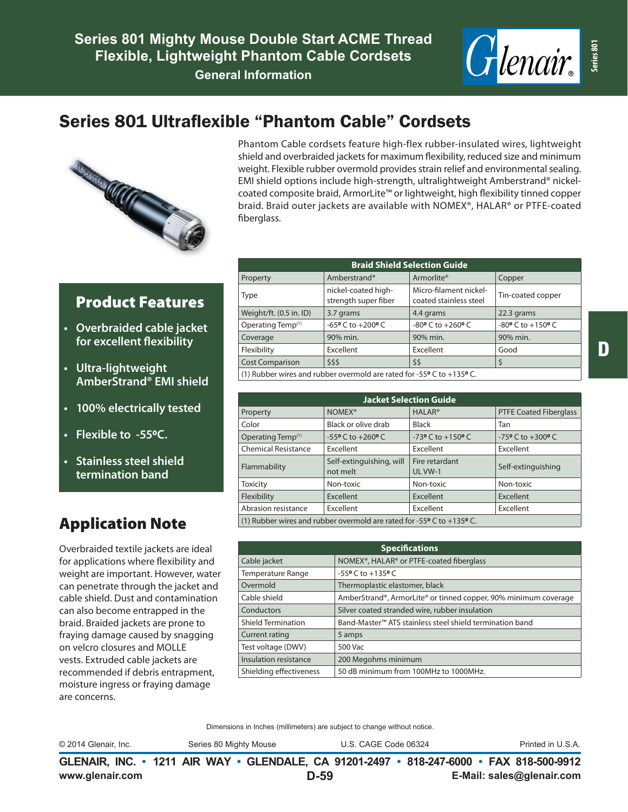

# Series 801 Ultraflexible "Phantom Cable" Cordsets



Phantom Cable cordsets feature high-flex rubber-insulated wires, lightweight shield and overbraided jackets for maximum flexibility, reduced size and minimum weight. Flexible rubber overmold provides strain relief and environmental sealing. EMI shield options include high-strength, ultralightweight Amberstrand® nickelcoated composite braid, ArmorLite™ or lightweight, high flexibility tinned copper braid. Braid outer jackets are available with NOMEX®, HALAR® or PTFE-coated fiberglass.

#### Product Features

- **• Overbraided cable jacket for excellent flexibility**
- **• Ultra-lightweight AmberStrand® EMI shield**
- **• 100% electrically tested**
- **• Flexible to -550C.**
- **• Stainless steel shield termination band**

## Application Note

Overbraided textile jackets are ideal for applications where flexibility and weight are important. However, water can penetrate through the jacket and cable shield. Dust and contamination can also become entrapped in the braid. Braided jackets are prone to fraying damage caused by snagging on velcro closures and MOLLE vests. Extruded cable jackets are recommended if debris entrapment, moisture ingress or fraying damage are concerns.

| <b>Braid Shield Selection Guide</b>                      |                        |                                             |                                                  |                                               |  |
|----------------------------------------------------------|------------------------|---------------------------------------------|--------------------------------------------------|-----------------------------------------------|--|
|                                                          | Property               | Amberstrand®                                | Armorlite <sup>®</sup>                           | Copper                                        |  |
|                                                          | Type                   | nickel-coated high-<br>strength super fiber | Micro-filament nickel-<br>coated stainless steel | Tin-coated copper                             |  |
| Weight/ft. (0.5 in. ID)<br>Operating Temp <sup>(1)</sup> |                        | 3.7 grams                                   | 4.4 grams                                        | 22.3 grams                                    |  |
|                                                          |                        | $-65$ °C to $+200$ °C                       | $-80$ <sup>o</sup> C to $+260$ <sup>o</sup> C    | $-80$ <sup>o</sup> C to $+150$ <sup>o</sup> C |  |
|                                                          | Coverage               | 90% min.                                    | 90% min.                                         | 90% min.                                      |  |
| Flexibility                                              |                        | Excellent                                   | Excellent                                        | Good                                          |  |
|                                                          | <b>Cost Comparison</b> | \$\$\$                                      | \$\$                                             | \$                                            |  |
|                                                          |                        |                                             |                                                  |                                               |  |

(1) Rubber wires and rubber overmold are rated for -55**0** C to +135**0** C.

| <b>Jacket Selection Guide</b> |                                                                                         |                                               |                                               |  |  |  |
|-------------------------------|-----------------------------------------------------------------------------------------|-----------------------------------------------|-----------------------------------------------|--|--|--|
| Property                      | NOMEX <sup>®</sup>                                                                      | <b>HALAR<sup>®</sup></b>                      | <b>PTFE Coated Fiberglass</b>                 |  |  |  |
| Color                         | Black or olive drab                                                                     | Black                                         | Tan                                           |  |  |  |
| Operating Temp <sup>(1)</sup> | $-55$ °C to $+260$ °C                                                                   | $-73$ <sup>o</sup> C to $+150$ <sup>o</sup> C | $-75$ <sup>o</sup> C to $+300$ <sup>o</sup> C |  |  |  |
| <b>Chemical Resistance</b>    | Excellent                                                                               | Excellent                                     | Excellent                                     |  |  |  |
| Flammability                  | Self-extinguishing, will<br>not melt                                                    | Fire retardant<br>UL VW-1                     | Self-extinguishing                            |  |  |  |
| <b>Toxicity</b>               | Non-toxic                                                                               | Non-toxic                                     | Non-toxic                                     |  |  |  |
| Flexibility                   | Excellent                                                                               | Excellent                                     | Excellent                                     |  |  |  |
| Abrasion resistance           | Excellent                                                                               | Excellent                                     | Excellent                                     |  |  |  |
|                               | (1) Rubber wires and rubber overmold are rated for -55 $\degree$ C to +135 $\degree$ C. |                                               |                                               |  |  |  |

| <b>Specifications</b>     |                                                                      |  |  |  |  |
|---------------------------|----------------------------------------------------------------------|--|--|--|--|
| Cable jacket              | NOMEX®, HALAR® or PTFE-coated fiberglass                             |  |  |  |  |
| Temperature Range         | $-55$ <sup>o</sup> C to $+135$ <sup>o</sup> C                        |  |  |  |  |
| Overmold                  | Thermoplastic elastomer, black                                       |  |  |  |  |
| Cable shield              | AmberStrand®, ArmorLite® or tinned copper, 90% minimum coverage      |  |  |  |  |
| Conductors                | Silver coated stranded wire, rubber insulation                       |  |  |  |  |
| <b>Shield Termination</b> | Band-Master <sup>™</sup> ATS stainless steel shield termination band |  |  |  |  |
| <b>Current rating</b>     | 5 amps                                                               |  |  |  |  |
| Test voltage (DWV)        | 500 Vac                                                              |  |  |  |  |
| Insulation resistance     | 200 Megohms minimum                                                  |  |  |  |  |
| Shielding effectiveness   | 50 dB minimum from 100MHz to 1000MHz.                                |  |  |  |  |

Dimensions in Inches (millimeters) are subject to change without notice.

© 2014 Glenair, Inc. Series 80 Mighty Mouse U.S. CAGE Code 06324 Printed in U.S.A.

**www.glenair.com E-Mail: sales@glenair.com GLENAIR, INC. • 1211 AIR WAY • GLENDALE, CA 91201-2497 • 818-247-6000 • FAX 818-500-9912 D-59**